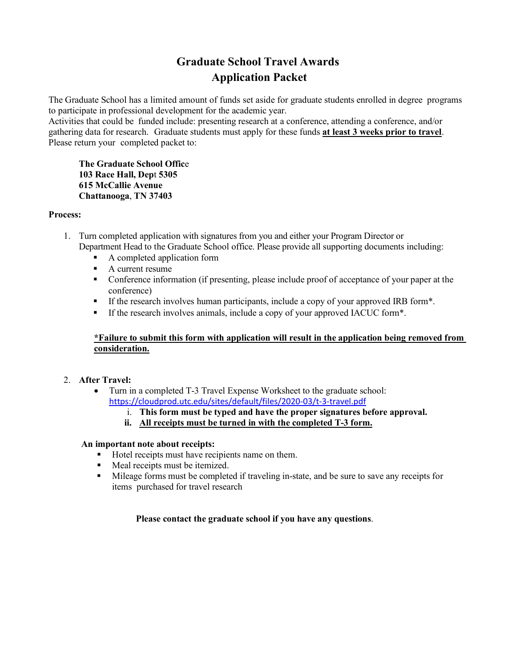# **Graduate School Travel Awards Application Packet**

The Graduate School has a limited amount of funds set aside for graduate students enrolled in degree programs to participate in professional development for the academic year.

Activities that could be funded include: presenting research at a conference, attending a conference, and/or gathering data for research. Graduate students must apply for these funds **at least 3 weeks prior to travel**. Please return your completed packet to:

**The Graduate School Offic**e **103 Race Hall, Dep**t **5305 615 McCallie Avenue Chattanooga**, **TN 37403**

#### **Process:**

- 1. Turn completed application with signatures from you and either your Program Director or Department Head to the Graduate School office. Please provide all supporting documents including:
	- A completed application form
	- A current resume
	- Conference information (if presenting, please include proof of acceptance of your paper at the conference)
	- If the research involves human participants, include a copy of your approved IRB form\*.
	- If the research involves animals, include a copy of your approved IACUC form\*.

# **\*Failure to submit this form with application will result in the application being removed from consideration.**

# 2. **After Travel:**

• Turn in a completed T-3 Travel Expense Worksheet to the graduate school: <https://cloudprod.utc.edu/sites/default/files/2020-03/t-3-travel.pdf>

i. **This form must be typed and have the proper signatures before approval.**

**ii. All receipts must be turned in with the completed T-3 form.**

#### **An important note about receipts:**

- Hotel receipts must have recipients name on them.
- **Meal receipts must be itemized.**
- Mileage forms must be completed if traveling in-state, and be sure to save any receipts for items purchased for travel research

# **Please contact the graduate school if you have any questions**.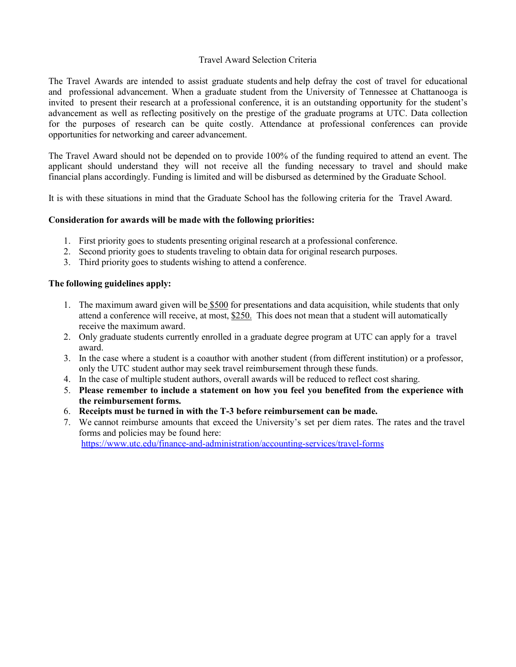#### Travel Award Selection Criteria

The Travel Awards are intended to assist graduate students and help defray the cost of travel for educational and professional advancement. When a graduate student from the University of Tennessee at Chattanooga is invited to present their research at a professional conference, it is an outstanding opportunity for the student's advancement as well as reflecting positively on the prestige of the graduate programs at UTC. Data collection for the purposes of research can be quite costly. Attendance at professional conferences can provide opportunities for networking and career advancement.

The Travel Award should not be depended on to provide 100% of the funding required to attend an event. The applicant should understand they will not receive all the funding necessary to travel and should make financial plans accordingly. Funding is limited and will be disbursed as determined by the Graduate School.

It is with these situations in mind that the Graduate School has the following criteria for the Travel Award.

#### **Consideration for awards will be made with the following priorities:**

- 1. First priority goes to students presenting original research at a professional conference.
- 2. Second priority goes to students traveling to obtain data for original research purposes.
- 3. Third priority goes to students wishing to attend a conference.

#### **The following guidelines apply:**

- 1. The maximum award given will be \$500 for presentations and data acquisition, while students that only attend a conference will receive, at most, \$250. This does not mean that a student will automatically receive the maximum award.
- 2. Only graduate students currently enrolled in a graduate degree program at UTC can apply for a travel award.
- 3. In the case where a student is a coauthor with another student (from different institution) or a professor, only the UTC student author may seek travel reimbursement through these funds.
- 4. In the case of multiple student authors, overall awards will be reduced to reflect cost sharing.
- 5. **Please remember to include a statement on how you feel you benefited from the experience with the reimbursement forms.**
- 6. **Receipts must be turned in with the T-3 before reimbursement can be made.**
- 7. We cannot reimburse amounts that exceed the University's set per diem rates. The rates and the travel forms and policies may be found here:

<https://www.utc.edu/finance-and-administration/accounting-services/travel-forms>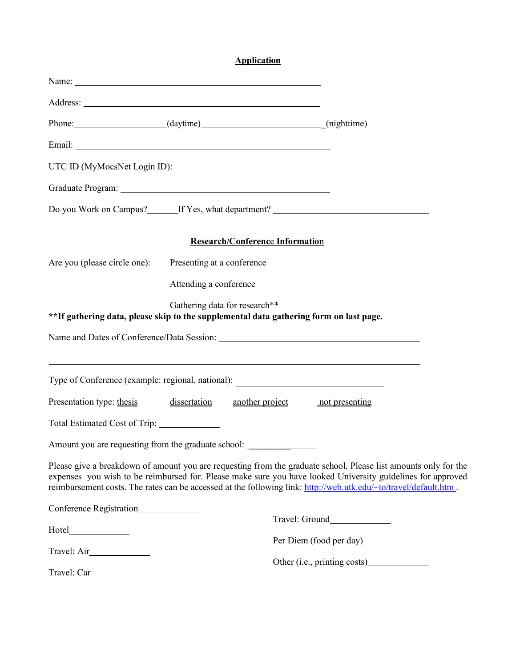# **Application**

| Phone: (daytime) (daytime) (nighttime)                                                 |                            |                                        |                                                                                                                                                                                                                                                                                                                                                    |
|----------------------------------------------------------------------------------------|----------------------------|----------------------------------------|----------------------------------------------------------------------------------------------------------------------------------------------------------------------------------------------------------------------------------------------------------------------------------------------------------------------------------------------------|
|                                                                                        |                            |                                        |                                                                                                                                                                                                                                                                                                                                                    |
|                                                                                        |                            |                                        |                                                                                                                                                                                                                                                                                                                                                    |
|                                                                                        |                            |                                        |                                                                                                                                                                                                                                                                                                                                                    |
|                                                                                        |                            |                                        | Do you Work on Campus? If Yes, what department?                                                                                                                                                                                                                                                                                                    |
|                                                                                        |                            | <b>Research/Conference Information</b> |                                                                                                                                                                                                                                                                                                                                                    |
| Are you (please circle one):                                                           | Presenting at a conference |                                        |                                                                                                                                                                                                                                                                                                                                                    |
|                                                                                        | Attending a conference     |                                        |                                                                                                                                                                                                                                                                                                                                                    |
| **If gathering data, please skip to the supplemental data gathering form on last page. |                            | Gathering data for research**          |                                                                                                                                                                                                                                                                                                                                                    |
|                                                                                        |                            |                                        | Name and Dates of Conference/Data Session: Name and Dates of Conference/Data Session:                                                                                                                                                                                                                                                              |
| Type of Conference (example: regional, national): _______________________________      |                            |                                        | <u> 1989 - Andrea Santa Andrea Santa Andrea Santa Andrea Santa Andrea Santa Andrea Santa Andrea Santa Andrea San</u>                                                                                                                                                                                                                               |
| Presentation type: thesis                                                              | dissertation               | another project not presenting         |                                                                                                                                                                                                                                                                                                                                                    |
| Total Estimated Cost of Trip: ______________                                           |                            |                                        |                                                                                                                                                                                                                                                                                                                                                    |
| Amount you are requesting from the graduate school: _____________________________      |                            |                                        |                                                                                                                                                                                                                                                                                                                                                    |
|                                                                                        |                            |                                        | Please give a breakdown of amount you are requesting from the graduate school. Please list amounts only for the<br>expenses you wish to be reimbursed for. Please make sure you have looked University guidelines for approved<br>reimbursement costs. The rates can be accessed at the following link: http://web.utk.edu/~to/travel/default.htm. |
| Conference Registration                                                                |                            |                                        |                                                                                                                                                                                                                                                                                                                                                    |
|                                                                                        |                            |                                        |                                                                                                                                                                                                                                                                                                                                                    |
|                                                                                        |                            |                                        |                                                                                                                                                                                                                                                                                                                                                    |
| Travel: Car                                                                            |                            |                                        |                                                                                                                                                                                                                                                                                                                                                    |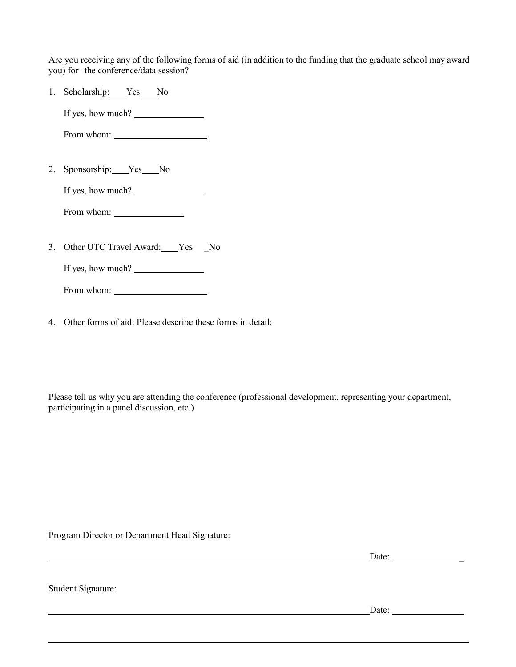Are you receiving any of the following forms of aid (in addition to the funding that the graduate school may award you) for the conference/data session?

1. Scholarship: Yes No

If yes, how much?  $\frac{1}{\sqrt{1-\frac{1}{\sqrt{1-\frac{1}{\sqrt{1-\frac{1}{\sqrt{1-\frac{1}{\sqrt{1-\frac{1}{\sqrt{1-\frac{1}{\sqrt{1-\frac{1}{\sqrt{1-\frac{1}{\sqrt{1-\frac{1}{\sqrt{1-\frac{1}{\sqrt{1-\frac{1}{\sqrt{1-\frac{1}{\sqrt{1-\frac{1}{\sqrt{1-\frac{1}{\sqrt{1-\frac{1}{\sqrt{1-\frac{1}{\sqrt{1-\frac{1}{\sqrt{1-\frac{1}{\sqrt{1-\frac{1}{\sqrt{1-\frac{1}{\sqrt{1-\frac{1}{\sqrt{1-\frac{1}{$ 

From whom:

2. Sponsorship: Yes No

If yes, how much?

From whom:

3. Other UTC Travel Award: Yes No

If yes, how much?

From whom:

4. Other forms of aid: Please describe these forms in detail:

Please tell us why you are attending the conference (professional development, representing your department, participating in a panel discussion, etc.).

Program Director or Department Head Signature:

Date: \_

Student Signature:

Date: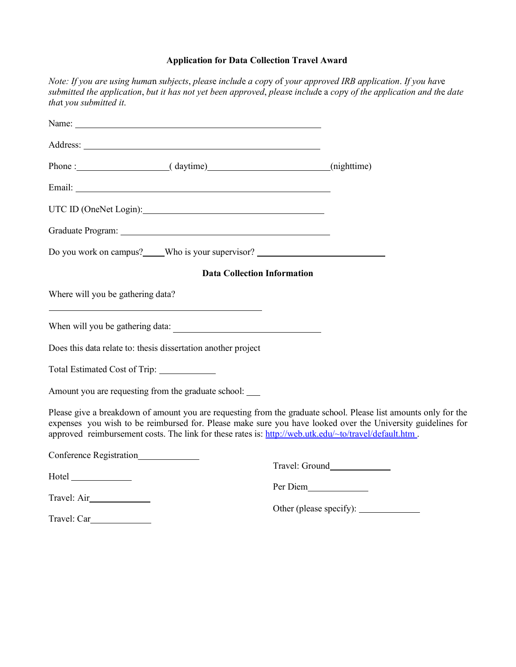# **Application for Data Collection Travel Award**

*Note: If you are using huma*n *subjects*, *pleas*e *includ*e *a cop*y *o*f *your approved IRB application*. *If you hav*e submitted the application, but it has not yet been approved, please include a copy of the application and the date *tha*t *you submitted it*.

| Name: Name:                                                                                                                                                                                                                   |                                                                                                                                                                                                                                                                                                                                         |  |
|-------------------------------------------------------------------------------------------------------------------------------------------------------------------------------------------------------------------------------|-----------------------------------------------------------------------------------------------------------------------------------------------------------------------------------------------------------------------------------------------------------------------------------------------------------------------------------------|--|
|                                                                                                                                                                                                                               |                                                                                                                                                                                                                                                                                                                                         |  |
|                                                                                                                                                                                                                               | Phone : (daytime) (daytime) (mighttime)                                                                                                                                                                                                                                                                                                 |  |
|                                                                                                                                                                                                                               |                                                                                                                                                                                                                                                                                                                                         |  |
| UTC ID (OneNet Login):                                                                                                                                                                                                        |                                                                                                                                                                                                                                                                                                                                         |  |
|                                                                                                                                                                                                                               |                                                                                                                                                                                                                                                                                                                                         |  |
|                                                                                                                                                                                                                               | Do you work on campus? Who is your supervisor?                                                                                                                                                                                                                                                                                          |  |
|                                                                                                                                                                                                                               | <b>Data Collection Information</b>                                                                                                                                                                                                                                                                                                      |  |
| Where will you be gathering data?                                                                                                                                                                                             |                                                                                                                                                                                                                                                                                                                                         |  |
|                                                                                                                                                                                                                               |                                                                                                                                                                                                                                                                                                                                         |  |
| Does this data relate to: thesis dissertation another project                                                                                                                                                                 |                                                                                                                                                                                                                                                                                                                                         |  |
| Total Estimated Cost of Trip: ______________                                                                                                                                                                                  |                                                                                                                                                                                                                                                                                                                                         |  |
| Amount you are requesting from the graduate school: _____                                                                                                                                                                     |                                                                                                                                                                                                                                                                                                                                         |  |
|                                                                                                                                                                                                                               | Please give a breakdown of amount you are requesting from the graduate school. Please list amounts only for the<br>expenses you wish to be reimbursed for. Please make sure you have looked over the University guidelines for<br>approved reimbursement costs. The link for these rates is: http://web.utk.edu/~to/travel/default.htm. |  |
| Conference Registration_______________                                                                                                                                                                                        | Travel: Ground                                                                                                                                                                                                                                                                                                                          |  |
| Hotel and the state of the state of the state of the state of the state of the state of the state of the state of the state of the state of the state of the state of the state of the state of the state of the state of the | Per Diem                                                                                                                                                                                                                                                                                                                                |  |
| Travel: Air                                                                                                                                                                                                                   |                                                                                                                                                                                                                                                                                                                                         |  |
| Travel: Car                                                                                                                                                                                                                   |                                                                                                                                                                                                                                                                                                                                         |  |